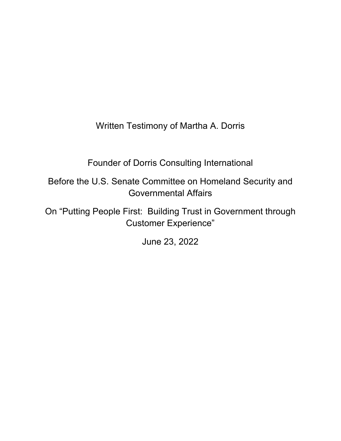Written Testimony of Martha A. Dorris

Founder of Dorris Consulting International

Before the U.S. Senate Committee on Homeland Security and Governmental Affairs

On "Putting People First: Building Trust in Government through Customer Experience"

June 23, 2022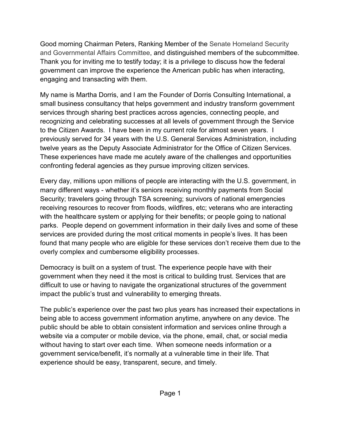Good morning Chairman Peters, Ranking Member of the Senate Homeland Security and Governmental Affairs Committee, and distinguished members of the subcommittee. Thank you for inviting me to testify today; it is a privilege to discuss how the federal government can improve the experience the American public has when interacting, engaging and transacting with them.

My name is Martha Dorris, and I am the Founder of Dorris Consulting International, a small business consultancy that helps government and industry transform government services through sharing best practices across agencies, connecting people, and recognizing and celebrating successes at all levels of government through the Service to the Citizen Awards. I have been in my current role for almost seven years. I previously served for 34 years with the U.S. General Services Administration, including twelve years as the Deputy Associate Administrator for the Office of Citizen Services. These experiences have made me acutely aware of the challenges and opportunities confronting federal agencies as they pursue improving citizen services.

Every day, millions upon millions of people are interacting with the U.S. government, in many different ways - whether it's seniors receiving monthly payments from Social Security; travelers going through TSA screening; survivors of national emergencies receiving resources to recover from floods, wildfires, etc; veterans who are interacting with the healthcare system or applying for their benefits; or people going to national parks. People depend on government information in their daily lives and some of these services are provided during the most critical moments in people's lives. It has been found that many people who are eligible for these services don't receive them due to the overly complex and cumbersome eligibility processes.

Democracy is built on a system of trust. The experience people have with their government when they need it the most is critical to building trust. Services that are difficult to use or having to navigate the organizational structures of the government impact the public's trust and vulnerability to emerging threats.

The public's experience over the past two plus years has increased their expectations in being able to access government information anytime, anywhere on any device. The public should be able to obtain consistent information and services online through a website via a computer or mobile device, via the phone, email, chat, or social media without having to start over each time. When someone needs information or a government service/benefit, it's normally at a vulnerable time in their life. That experience should be easy, transparent, secure, and timely.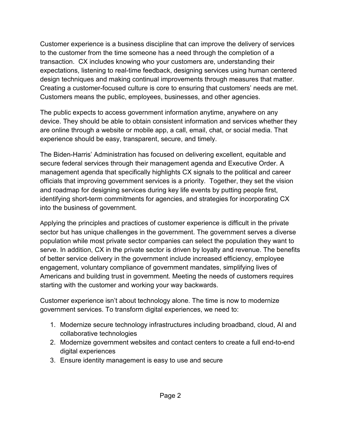Customer experience is a business discipline that can improve the delivery of services to the customer from the time someone has a need through the completion of a transaction. CX includes knowing who your customers are, understanding their expectations, listening to real-time feedback, designing services using human centered design techniques and making continual improvements through measures that matter. Creating a customer-focused culture is core to ensuring that customers' needs are met. Customers means the public, employees, businesses, and other agencies.

The public expects to access government information anytime, anywhere on any device. They should be able to obtain consistent information and services whether they are online through a website or mobile app, a call, email, chat, or social media. That experience should be easy, transparent, secure, and timely.

The Biden-Harris' Administration has focused on delivering excellent, equitable and secure federal services through their management agenda and Executive Order. A management agenda that specifically highlights CX signals to the political and career officials that improving government services is a priority. Together, they set the vision and roadmap for designing services during key life events by putting people first, identifying short-term commitments for agencies, and strategies for incorporating CX into the business of government.

Applying the principles and practices of customer experience is difficult in the private sector but has unique challenges in the government. The government serves a diverse population while most private sector companies can select the population they want to serve. In addition, CX in the private sector is driven by loyalty and revenue. The benefits of better service delivery in the government include increased efficiency, employee engagement, voluntary compliance of government mandates, simplifying lives of Americans and building trust in government. Meeting the needs of customers requires starting with the customer and working your way backwards.

Customer experience isn't about technology alone. The time is now to modernize government services. To transform digital experiences, we need to:

- 1. Modernize secure technology infrastructures including broadband, cloud, AI and collaborative technologies
- 2. Modernize government websites and contact centers to create a full end-to-end digital experiences
- 3. Ensure identity management is easy to use and secure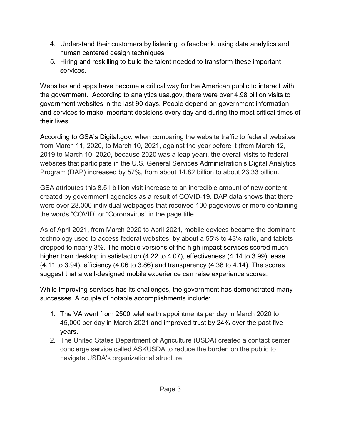- 4. Understand their customers by listening to feedback, using data analytics and human centered design techniques
- 5. Hiring and reskilling to build the talent needed to transform these important services.

Websites and apps have become a critical way for the American public to interact with the government. According to analytics.usa.gov, there were over 4.98 billion visits to government websites in the last 90 days. People depend on government information and services to make important decisions every day and during the most critical times of their lives.

According to GSA's Digital.gov, when comparing the website traffic to federal websites from March 11, 2020, to March 10, 2021, against the year before it (from March 12, 2019 to March 10, 2020, because 2020 was a leap year), the overall visits to federal websites that participate in the U.S. General Services Administration's Digital Analytics Program (DAP) increased by 57%, from about 14.82 billion to about 23.33 billion.

GSA attributes this 8.51 billion visit increase to an incredible amount of new content created by government agencies as a result of COVID-19. DAP data shows that there were over 28,000 individual webpages that received 100 pageviews or more containing the words "COVID" or "Coronavirus" in the page title.

As of April 2021, from March 2020 to April 2021, mobile devices became the dominant technology used to access federal websites, by about a 55% to 43% ratio, and tablets dropped to nearly 3%. The mobile versions of the high impact services scored much higher than desktop in satisfaction (4.22 to 4.07), effectiveness (4.14 to 3.99), ease (4.11 to 3.94), efficiency (4.06 to 3.86) and transparency (4.38 to 4.14). The scores suggest that a well-designed mobile experience can raise experience scores.

While improving services has its challenges, the government has demonstrated many successes. A couple of notable accomplishments include:

- 1. The VA went from 2500 telehealth appointments per day in March 2020 to 45,000 per day in March 2021 and improved trust by 24% over the past five years.
- 2. The United States Department of Agriculture (USDA) created a contact center concierge service called ASKUSDA to reduce the burden on the public to navigate USDA's organizational structure.